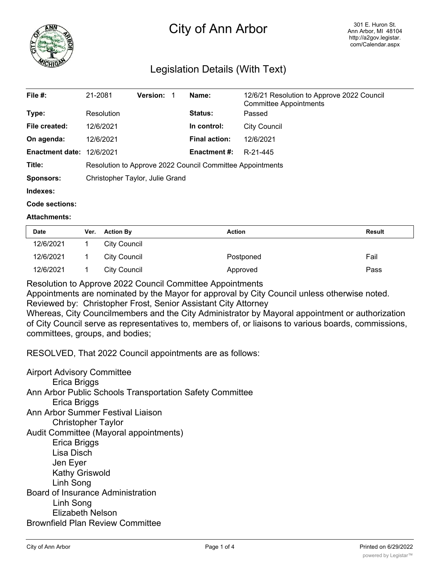

## City of Ann Arbor

## Legislation Details (With Text)

| File $#$ :             | 21-2081                                                   | <b>Version:</b> | Name:                | 12/6/21 Resolution to Approve 2022 Council<br><b>Committee Appointments</b> |  |
|------------------------|-----------------------------------------------------------|-----------------|----------------------|-----------------------------------------------------------------------------|--|
| Type:                  | Resolution                                                |                 | Status:              | Passed                                                                      |  |
| File created:          | 12/6/2021                                                 |                 | In control:          | <b>City Council</b>                                                         |  |
| On agenda:             | 12/6/2021                                                 |                 | <b>Final action:</b> | 12/6/2021                                                                   |  |
| <b>Enactment date:</b> | 12/6/2021                                                 |                 | <b>Enactment #:</b>  | R-21-445                                                                    |  |
| Title:                 | Resolution to Approve 2022 Council Committee Appointments |                 |                      |                                                                             |  |
| <b>Sponsors:</b>       | Christopher Taylor, Julie Grand                           |                 |                      |                                                                             |  |
| Indexes:               |                                                           |                 |                      |                                                                             |  |
| Code sections:         |                                                           |                 |                      |                                                                             |  |

## **Attachments:**

| <b>Date</b> | Ver. | <b>Action By</b>    | <b>Action</b> | <b>Result</b> |
|-------------|------|---------------------|---------------|---------------|
| 12/6/2021   |      | City Council        |               |               |
| 12/6/2021   |      | <b>City Council</b> | Postponed     | Fail          |
| 12/6/2021   |      | <b>City Council</b> | Approved      | Pass          |

Resolution to Approve 2022 Council Committee Appointments

Appointments are nominated by the Mayor for approval by City Council unless otherwise noted.

Reviewed by: Christopher Frost, Senior Assistant City Attorney

Whereas, City Councilmembers and the City Administrator by Mayoral appointment or authorization of City Council serve as representatives to, members of, or liaisons to various boards, commissions, committees, groups, and bodies;

RESOLVED, That 2022 Council appointments are as follows:

Airport Advisory Committee Erica Briggs Ann Arbor Public Schools Transportation Safety Committee Erica Briggs Ann Arbor Summer Festival Liaison Christopher Taylor Audit Committee (Mayoral appointments) Erica Briggs Lisa Disch Jen Eyer Kathy Griswold Linh Song Board of Insurance Administration Linh Song Elizabeth Nelson Brownfield Plan Review Committee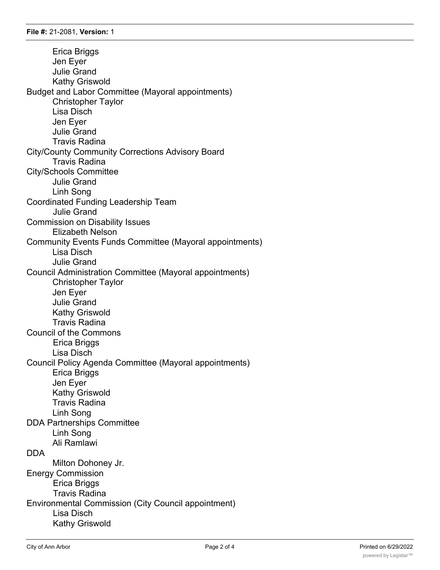Erica Briggs Jen Eyer Julie Grand Kathy Griswold Budget and Labor Committee (Mayoral appointments) Christopher Taylor Lisa Disch Jen Eyer Julie Grand Travis Radina City/County Community Corrections Advisory Board Travis Radina City/Schools Committee Julie Grand Linh Song Coordinated Funding Leadership Team Julie Grand Commission on Disability Issues Elizabeth Nelson Community Events Funds Committee (Mayoral appointments) Lisa Disch Julie Grand Council Administration Committee (Mayoral appointments) Christopher Taylor Jen Eyer Julie Grand Kathy Griswold Travis Radina Council of the Commons Erica Briggs Lisa Disch Council Policy Agenda Committee (Mayoral appointments) Erica Briggs Jen Eyer Kathy Griswold Travis Radina Linh Song DDA Partnerships Committee Linh Song Ali Ramlawi DDA Milton Dohoney Jr. Energy Commission Erica Briggs Travis Radina Environmental Commission (City Council appointment) Lisa Disch Kathy Griswold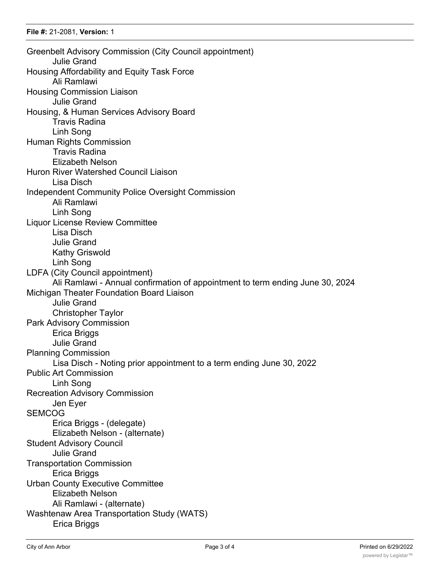Greenbelt Advisory Commission (City Council appointment) Julie Grand Housing Affordability and Equity Task Force Ali Ramlawi Housing Commission Liaison Julie Grand Housing, & Human Services Advisory Board Travis Radina Linh Song Human Rights Commission Travis Radina Elizabeth Nelson Huron River Watershed Council Liaison Lisa Disch Independent Community Police Oversight Commission Ali Ramlawi Linh Song Liquor License Review Committee Lisa Disch Julie Grand Kathy Griswold Linh Song LDFA (City Council appointment) Ali Ramlawi - Annual confirmation of appointment to term ending June 30, 2024 Michigan Theater Foundation Board Liaison Julie Grand Christopher Taylor Park Advisory Commission Erica Briggs Julie Grand Planning Commission Lisa Disch - Noting prior appointment to a term ending June 30, 2022 Public Art Commission Linh Song Recreation Advisory Commission Jen Eyer **SEMCOG** Erica Briggs - (delegate) Elizabeth Nelson - (alternate) Student Advisory Council Julie Grand Transportation Commission Erica Briggs Urban County Executive Committee Elizabeth Nelson Ali Ramlawi - (alternate) Washtenaw Area Transportation Study (WATS) Erica Briggs